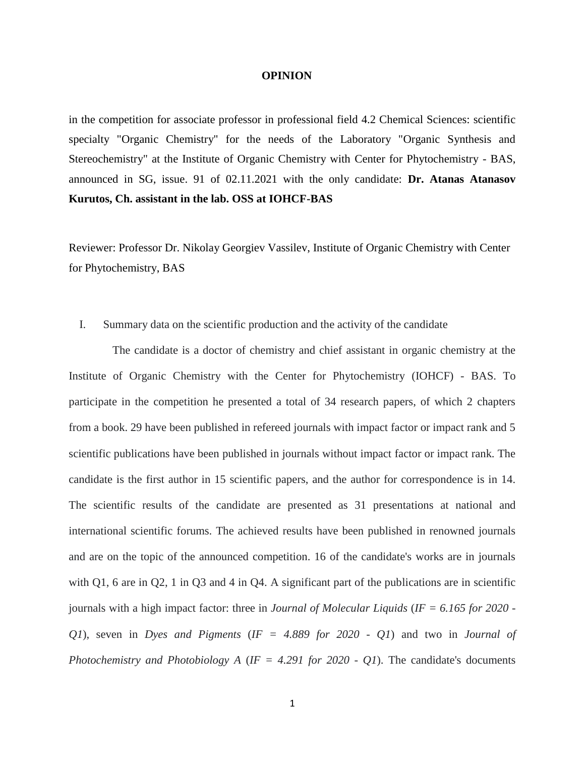## **OPINION**

in the competition for associate professor in professional field 4.2 Chemical Sciences: scientific specialty "Organic Chemistry" for the needs of the Laboratory "Organic Synthesis and Stereochemistry" at the Institute of Organic Chemistry with Center for Phytochemistry - BAS, announced in SG, issue. 91 of 02.11.2021 with the only candidate: **Dr. Atanas Atanasov Kurutos, Ch. assistant in the lab. OSS at IOHCF-BAS**

Reviewer: Professor Dr. Nikolay Georgiev Vassilev, Institute of Organic Chemistry with Center for Phytochemistry, BAS

## I. Summary data on the scientific production and the activity of the candidate

The candidate is a doctor of chemistry and chief assistant in organic chemistry at the Institute of Organic Chemistry with the Center for Phytochemistry (IOHCF) - BAS. To participate in the competition he presented a total of 34 research papers, of which 2 chapters from a book. 29 have been published in refereed journals with impact factor or impact rank and 5 scientific publications have been published in journals without impact factor or impact rank. The candidate is the first author in 15 scientific papers, and the author for correspondence is in 14. The scientific results of the candidate are presented as 31 presentations at national and international scientific forums. The achieved results have been published in renowned journals and are on the topic of the announced competition. 16 of the candidate's works are in journals with Q1, 6 are in Q2, 1 in Q3 and 4 in Q4. A significant part of the publications are in scientific journals with a high impact factor: three in *Journal of Molecular Liquids* (*IF = 6.165 for 2020 - Q1*), seven in *Dyes and Pigments* (*IF = 4.889 for 2020 - Q1*) and two in *Journal of Photochemistry and Photobiology A* (*IF = 4.291 for 2020 - Q1*). The candidate's documents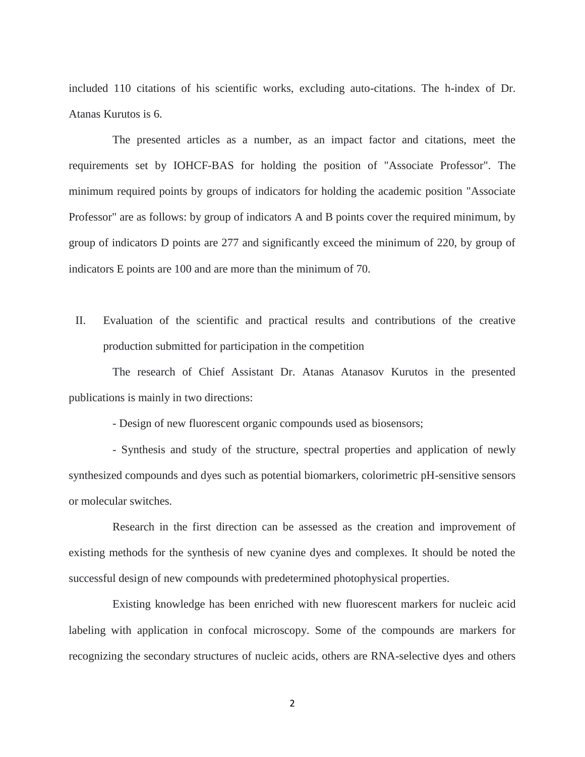included 110 citations of his scientific works, excluding auto-citations. The h-index of Dr. Atanas Kurutos is 6.

The presented articles as a number, as an impact factor and citations, meet the requirements set by IOHCF-BAS for holding the position of "Associate Professor". The minimum required points by groups of indicators for holding the academic position "Associate Professor" are as follows: by group of indicators A and B points cover the required minimum, by group of indicators D points are 277 and significantly exceed the minimum of 220, by group of indicators E points are 100 and are more than the minimum of 70.

II. Evaluation of the scientific and practical results and contributions of the creative production submitted for participation in the competition

The research of Chief Assistant Dr. Atanas Atanasov Kurutos in the presented publications is mainly in two directions:

- Design of new fluorescent organic compounds used as biosensors;

- Synthesis and study of the structure, spectral properties and application of newly synthesized compounds and dyes such as potential biomarkers, colorimetric pH-sensitive sensors or molecular switches.

Research in the first direction can be assessed as the creation and improvement of existing methods for the synthesis of new cyanine dyes and complexes. It should be noted the successful design of new compounds with predetermined photophysical properties.

Existing knowledge has been enriched with new fluorescent markers for nucleic acid labeling with application in confocal microscopy. Some of the compounds are markers for recognizing the secondary structures of nucleic acids, others are RNA-selective dyes and others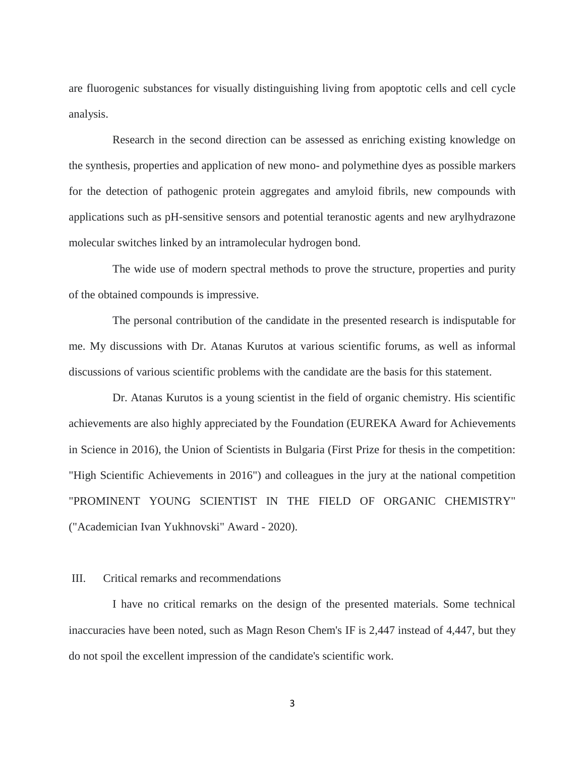are fluorogenic substances for visually distinguishing living from apoptotic cells and cell cycle analysis.

Research in the second direction can be assessed as enriching existing knowledge on the synthesis, properties and application of new mono- and polymethine dyes as possible markers for the detection of pathogenic protein aggregates and amyloid fibrils, new compounds with applications such as pH-sensitive sensors and potential teranostic agents and new arylhydrazone molecular switches linked by an intramolecular hydrogen bond.

The wide use of modern spectral methods to prove the structure, properties and purity of the obtained compounds is impressive.

The personal contribution of the candidate in the presented research is indisputable for me. My discussions with Dr. Atanas Kurutos at various scientific forums, as well as informal discussions of various scientific problems with the candidate are the basis for this statement.

Dr. Atanas Kurutos is a young scientist in the field of organic chemistry. His scientific achievements are also highly appreciated by the Foundation (EUREKA Award for Achievements in Science in 2016), the Union of Scientists in Bulgaria (First Prize for thesis in the competition: "High Scientific Achievements in 2016") and colleagues in the jury at the national competition "PROMINENT YOUNG SCIENTIST IN THE FIELD OF ORGANIC CHEMISTRY" ("Academician Ivan Yukhnovski" Award - 2020).

## III. Critical remarks and recommendations

I have no critical remarks on the design of the presented materials. Some technical inaccuracies have been noted, such as Magn Reson Chem's IF is 2,447 instead of 4,447, but they do not spoil the excellent impression of the candidate's scientific work.